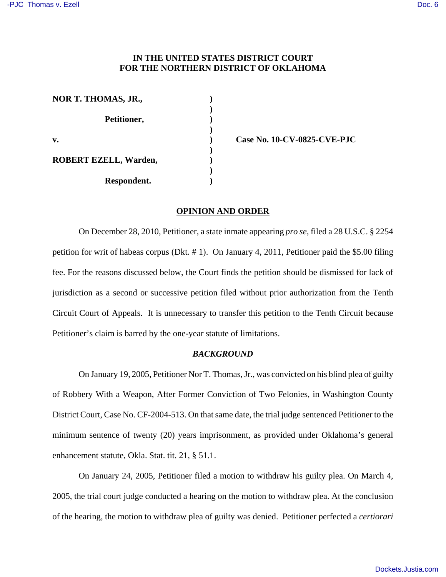## **IN THE UNITED STATES DISTRICT COURT FOR THE NORTHERN DISTRICT OF OKLAHOMA**

| NOR T. THOMAS, JR.,          |  |
|------------------------------|--|
| Petitioner,                  |  |
| v.                           |  |
| <b>ROBERT EZELL, Warden,</b> |  |
| Respondent.                  |  |

**v. ) Case No. 10-CV-0825-CVE-PJC**

#### **OPINION AND ORDER**

On December 28, 2010, Petitioner, a state inmate appearing *pro se*, filed a 28 U.S.C. § 2254 petition for writ of habeas corpus (Dkt. # 1). On January 4, 2011, Petitioner paid the \$5.00 filing fee. For the reasons discussed below, the Court finds the petition should be dismissed for lack of jurisdiction as a second or successive petition filed without prior authorization from the Tenth Circuit Court of Appeals. It is unnecessary to transfer this petition to the Tenth Circuit because Petitioner's claim is barred by the one-year statute of limitations.

### *BACKGROUND*

On January 19, 2005, Petitioner Nor T. Thomas, Jr., was convicted on his blind plea of guilty of Robbery With a Weapon, After Former Conviction of Two Felonies, in Washington County District Court, Case No. CF-2004-513. On that same date, the trial judge sentenced Petitioner to the minimum sentence of twenty (20) years imprisonment, as provided under Oklahoma's general enhancement statute, Okla. Stat. tit. 21, § 51.1.

On January 24, 2005, Petitioner filed a motion to withdraw his guilty plea. On March 4, 2005, the trial court judge conducted a hearing on the motion to withdraw plea. At the conclusion of the hearing, the motion to withdraw plea of guilty was denied. Petitioner perfected a *certiorari*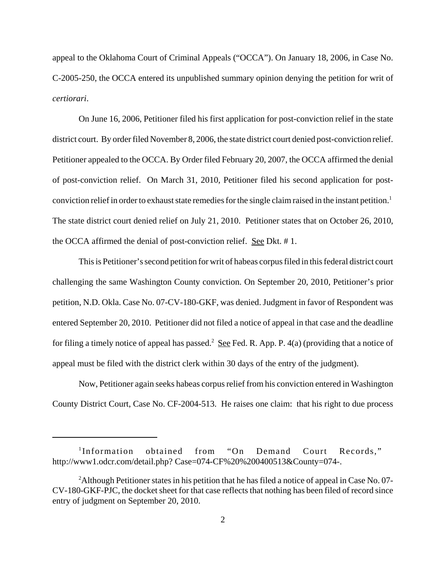appeal to the Oklahoma Court of Criminal Appeals ("OCCA"). On January 18, 2006, in Case No. C-2005-250, the OCCA entered its unpublished summary opinion denying the petition for writ of *certiorari*.

On June 16, 2006, Petitioner filed his first application for post-conviction relief in the state district court. By order filed November 8, 2006, the state district court denied post-conviction relief. Petitioner appealed to the OCCA. By Order filed February 20, 2007, the OCCA affirmed the denial of post-conviction relief. On March 31, 2010, Petitioner filed his second application for postconviction relief in order to exhaust state remedies for the single claim raised in the instant petition.<sup>1</sup> The state district court denied relief on July 21, 2010. Petitioner states that on October 26, 2010, the OCCA affirmed the denial of post-conviction relief. See Dkt. # 1.

This is Petitioner's second petition for writ of habeas corpus filed in this federal district court challenging the same Washington County conviction. On September 20, 2010, Petitioner's prior petition, N.D. Okla. Case No. 07-CV-180-GKF, was denied. Judgment in favor of Respondent was entered September 20, 2010. Petitioner did not filed a notice of appeal in that case and the deadline for filing a timely notice of appeal has passed.<sup>2</sup> See Fed. R. App. P. 4(a) (providing that a notice of appeal must be filed with the district clerk within 30 days of the entry of the judgment).

Now, Petitioner again seeks habeas corpus relief from his conviction entered in Washington County District Court, Case No. CF-2004-513. He raises one claim: that his right to due process

<sup>1</sup> Information obtained from "On Demand Court Records," http://www1.odcr.com/detail.php? Case=074-CF%20%200400513&County=074-.

<sup>&</sup>lt;sup>2</sup>Although Petitioner states in his petition that he has filed a notice of appeal in Case No. 07-CV-180-GKF-PJC, the docket sheet for that case reflects that nothing has been filed of record since entry of judgment on September 20, 2010.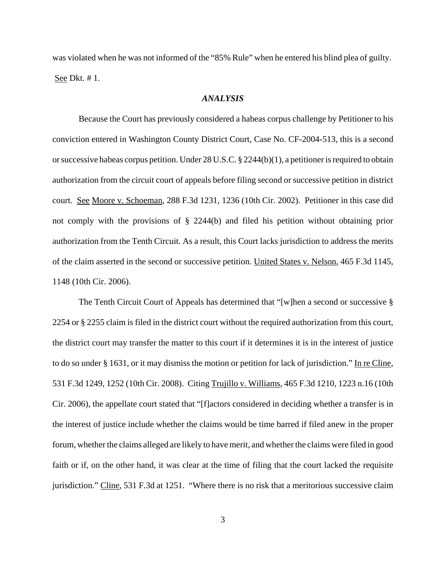was violated when he was not informed of the "85% Rule" when he entered his blind plea of guilty. See Dkt. # 1.

#### *ANALYSIS*

Because the Court has previously considered a habeas corpus challenge by Petitioner to his conviction entered in Washington County District Court, Case No. CF-2004-513, this is a second or successive habeas corpus petition. Under 28 U.S.C. § 2244(b)(1), a petitioner is required to obtain authorization from the circuit court of appeals before filing second or successive petition in district court. See Moore v. Schoeman, 288 F.3d 1231, 1236 (10th Cir. 2002). Petitioner in this case did not comply with the provisions of § 2244(b) and filed his petition without obtaining prior authorization from the Tenth Circuit. As a result, this Court lacks jurisdiction to address the merits of the claim asserted in the second or successive petition. United States v. Nelson, 465 F.3d 1145, 1148 (10th Cir. 2006).

The Tenth Circuit Court of Appeals has determined that "[w]hen a second or successive § 2254 or § 2255 claim is filed in the district court without the required authorization from this court, the district court may transfer the matter to this court if it determines it is in the interest of justice to do so under § 1631, or it may dismiss the motion or petition for lack of jurisdiction." In re Cline, 531 F.3d 1249, 1252 (10th Cir. 2008). Citing Trujillo v. Williams, 465 F.3d 1210, 1223 n.16 (10th Cir. 2006), the appellate court stated that "[f]actors considered in deciding whether a transfer is in the interest of justice include whether the claims would be time barred if filed anew in the proper forum, whether the claims alleged are likely to have merit, and whether the claims were filed in good faith or if, on the other hand, it was clear at the time of filing that the court lacked the requisite jurisdiction." Cline, 531 F.3d at 1251. "Where there is no risk that a meritorious successive claim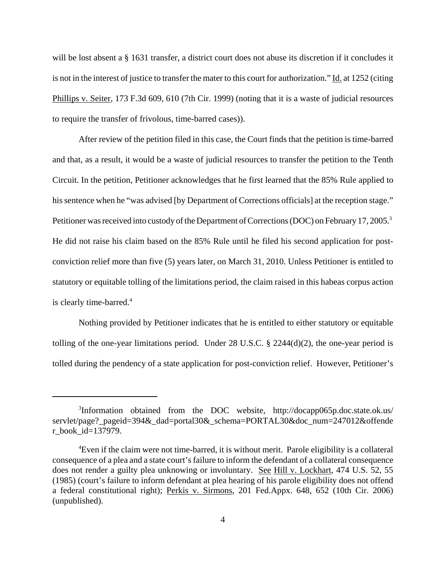will be lost absent a § 1631 transfer, a district court does not abuse its discretion if it concludes it is not in the interest of justice to transfer the mater to this court for authorization." Id. at 1252 (citing Phillips v. Seiter, 173 F.3d 609, 610 (7th Cir. 1999) (noting that it is a waste of judicial resources to require the transfer of frivolous, time-barred cases)).

After review of the petition filed in this case, the Court finds that the petition is time-barred and that, as a result, it would be a waste of judicial resources to transfer the petition to the Tenth Circuit. In the petition, Petitioner acknowledges that he first learned that the 85% Rule applied to his sentence when he "was advised [by Department of Corrections officials] at the reception stage." Petitioner was received into custody of the Department of Corrections (DOC) on February 17, 2005.<sup>3</sup> He did not raise his claim based on the 85% Rule until he filed his second application for postconviction relief more than five (5) years later, on March 31, 2010. Unless Petitioner is entitled to statutory or equitable tolling of the limitations period, the claim raised in this habeas corpus action is clearly time-barred.<sup>4</sup>

Nothing provided by Petitioner indicates that he is entitled to either statutory or equitable tolling of the one-year limitations period. Under  $28$  U.S.C.  $\S$   $2244(d)(2)$ , the one-year period is tolled during the pendency of a state application for post-conviction relief. However, Petitioner's

<sup>&</sup>lt;sup>3</sup>Information obtained from the DOC website, http://docapp065p.doc.state.ok.us/ servlet/page?\_pageid=394&\_dad=portal30&\_schema=PORTAL30&doc\_num=247012&offende r\_book\_id=137979.

<sup>4</sup>Even if the claim were not time-barred, it is without merit. Parole eligibility is a collateral consequence of a plea and a state court's failure to inform the defendant of a collateral consequence does not render a guilty plea unknowing or involuntary. See Hill v. Lockhart, 474 U.S. 52, 55 (1985) (court's failure to inform defendant at plea hearing of his parole eligibility does not offend a federal constitutional right); Perkis v. Sirmons, 201 Fed.Appx. 648, 652 (10th Cir. 2006) (unpublished).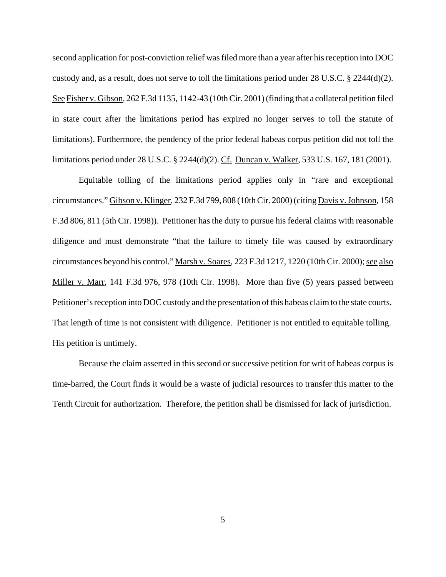second application for post-conviction relief was filed more than a year after his reception into DOC custody and, as a result, does not serve to toll the limitations period under 28 U.S.C. § 2244(d)(2). See Fisher v. Gibson, 262 F.3d 1135, 1142-43 (10th Cir. 2001) (finding that a collateral petition filed in state court after the limitations period has expired no longer serves to toll the statute of limitations). Furthermore, the pendency of the prior federal habeas corpus petition did not toll the limitations period under 28 U.S.C. § 2244(d)(2). Cf. Duncan v. Walker, 533 U.S. 167, 181 (2001).

Equitable tolling of the limitations period applies only in "rare and exceptional circumstances." Gibson v. Klinger, 232 F.3d 799, 808 (10th Cir. 2000) (citing Davis v. Johnson, 158 F.3d 806, 811 (5th Cir. 1998)). Petitioner has the duty to pursue his federal claims with reasonable diligence and must demonstrate "that the failure to timely file was caused by extraordinary circumstances beyond his control." Marsh v. Soares, 223 F.3d 1217, 1220 (10th Cir. 2000); see also Miller v. Marr, 141 F.3d 976, 978 (10th Cir. 1998). More than five (5) years passed between Petitioner's reception into DOC custody and the presentation of this habeas claim to the state courts. That length of time is not consistent with diligence. Petitioner is not entitled to equitable tolling. His petition is untimely.

Because the claim asserted in this second or successive petition for writ of habeas corpus is time-barred, the Court finds it would be a waste of judicial resources to transfer this matter to the Tenth Circuit for authorization. Therefore, the petition shall be dismissed for lack of jurisdiction.